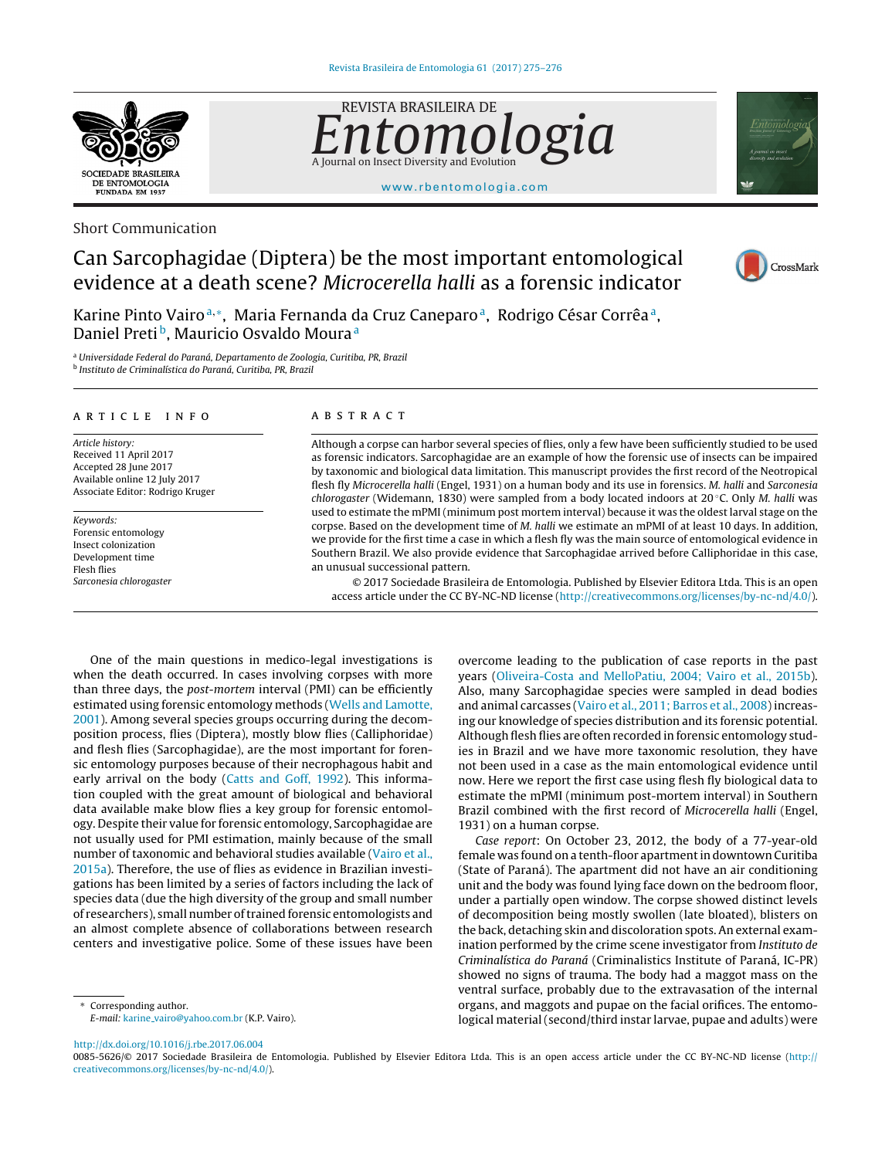

Short Communication

# REVISTA BRASILEIRA DE dgia A Journal on Insect Diversity and Evolution <www.rbentomologia.com>



# Can Sarcophagidae (Diptera) be the most important entomological evidence at a death scene? Microcerella halli as a forensic indicator

CrossMark

Karine Pinto Vairo<sup>a,</sup>\*, Maria Fernanda da Cruz Caneparo<sup>a</sup>, Rodrigo César Corrêa<sup>a</sup>, Daniel Preti<sup>b</sup>, Mauricio Osvaldo Moura<sup>a</sup>

<sup>a</sup> Universidade Federal do Paraná, Departamento de Zoologia, Curitiba, PR, Brazil <sup>b</sup> Instituto de Criminalística do Paraná, Curitiba, PR, Brazil

#### a r t i c l e i n f o

Article history: Received 11 April 2017 Accepted 28 June 2017 Available online 12 July 2017 Associate Editor: Rodrigo Kruger

Keywords: Forensic entomology Insect colonization Development time Flesh flies Sarconesia chlorogaster

### A B S T R A C T

Although a corpse can harbor several species of flies, only a few have been sufficiently studied to be used as forensic indicators. Sarcophagidae are an example of how the forensic use of insects can be impaired by taxonomic and biological data limitation. This manuscript provides the first record of the Neotropical flesh fly Microcerella halli (Engel, 1931) on a human body and its use in forensics. M. halli and Sarconesia chlorogaster (Widemann, 1830) were sampled from a body located indoors at  $20 °C$ . Only *M. halli* was used to estimate the mPMI (minimum post mortem interval) because it was the oldest larval stage on the corpse. Based on the development time of M. halli we estimate an mPMI of at least 10 days. In addition, we provide for the first time a case in which a flesh fly was the main source of entomological evidence in Southern Brazil. We also provide evidence that Sarcophagidae arrived before Calliphoridae in this case, an unusual successional pattern.

© 2017 Sociedade Brasileira de Entomologia. Published by Elsevier Editora Ltda. This is an open access article under the CC BY-NC-ND license [\(http://creativecommons.org/licenses/by-nc-nd/4.0/](http://creativecommons.org/licenses/by-nc-nd/4.0/)).

One of the main questions in medico-legal investigations is when the death occurred. In cases involving corpses with more than three days, the post-mortem interval (PMI) can be efficiently estimated using forensic entomology methods ([Wells](#page-1-0) [and](#page-1-0) [Lamotte,](#page-1-0) [2001\).](#page-1-0) Among several species groups occurring during the decomposition process, flies (Diptera), mostly blow flies (Calliphoridae) and flesh flies (Sarcophagidae), are the most important for forensic entomology purposes because of their necrophagous habit and early arrival on the body ([Catts](#page-1-0) [and](#page-1-0) [Goff,](#page-1-0) [1992\).](#page-1-0) This information coupled with the great amount of biological and behavioral data available make blow flies a key group for forensic entomology. Despite their value for forensic entomology, Sarcophagidae are not usually used for PMI estimation, mainly because of the small number of taxonomic and behavioral studies available [\(Vairo](#page-1-0) et [al.,](#page-1-0) [2015a\).](#page-1-0) Therefore, the use of flies as evidence in Brazilian investigations has been limited by a series of factors including the lack of species data (due the high diversity of the group and small number of researchers), small number of trained forensic entomologists and an almost complete absence of collaborations between research centers and investigative police. Some of these issues have been

Corresponding author.

[http://dx.doi.org/10.1016/j.rbe.2017.06.004](dx.doi.org/10.1016/j.rbe.2017.06.004)

E-mail: karine [vairo@yahoo.com.br](mailto:karine_vairo@yahoo.com.br) (K.P. Vairo).

overcome leading to the publication of case reports in the past years ([Oliveira-Costa](#page-1-0) [and](#page-1-0) [MelloPatiu,](#page-1-0) [2004;](#page-1-0) [Vairo](#page-1-0) et [al.,](#page-1-0) [2015b\).](#page-1-0) Also, many Sarcophagidae species were sampled in dead bodies and animal carcasses ([Vairo](#page-1-0) et [al.,](#page-1-0) [2011;](#page-1-0) [Barros](#page-1-0) et al., 2008) increasing our knowledge of species distribution and its forensic potential. Although flesh flies are often recorded in forensic entomology studies in Brazil and we have more taxonomic resolution, they have not been used in a case as the main entomological evidence until now. Here we report the first case using flesh fly biological data to estimate the mPMI (minimum post-mortem interval) in Southern Brazil combined with the first record of Microcerella halli (Engel, 1931) on a human corpse.

Case report: On October 23, 2012, the body of a 77-year-old female was found on a tenth-floor apartment in downtown Curitiba (State of Paraná). The apartment did not have an air conditioning unit and the body was found lying face down on the bedroom floor, under a partially open window. The corpse showed distinct levels of decomposition being mostly swollen (late bloated), blisters on the back, detaching skin and discoloration spots. An external examination performed by the crime scene investigator from Instituto de Criminalística do Paraná (Criminalistics Institute of Paraná, IC-PR) showed no signs of trauma. The body had a maggot mass on the ventral surface, probably due to the extravasation of the internal organs, and maggots and pupae on the facial orifices. The entomological material(second/third instar larvae, pupae and adults) were

0085-5626/© 2017 Sociedade Brasileira de Entomologia. Published by Elsevier Editora Ltda. This is an open access article under the CC BY-NC-ND license ([http://](http://creativecommons.org/licenses/by-nc-nd/4.0/) [creativecommons.org/licenses/by-nc-nd/4.0/](http://creativecommons.org/licenses/by-nc-nd/4.0/)).